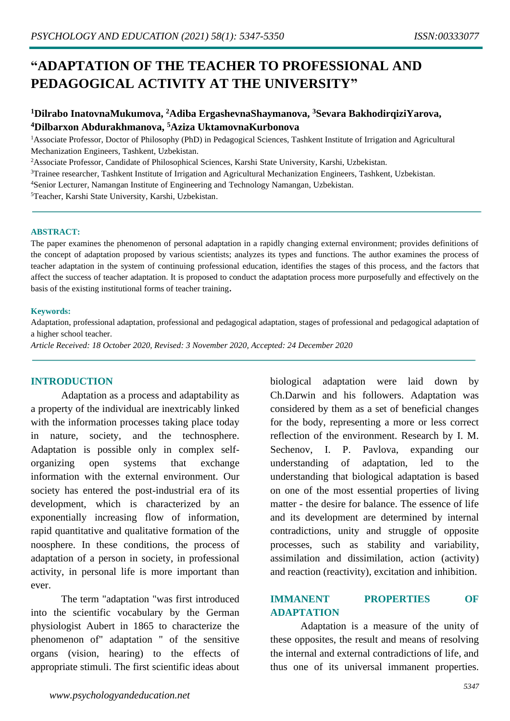# **"ADAPTATION OF THE TEACHER TO PROFESSIONAL AND PEDAGOGICAL ACTIVITY AT THE UNIVERSITY"**

# **<sup>1</sup>Dilrabo InatovnaMukumova, <sup>2</sup>Adiba ErgashevnaShaymanova, <sup>3</sup>Sevara BakhodirqiziYarova, <sup>4</sup>Dilbarxon Abdurakhmanova, <sup>5</sup>Aziza UktamovnaKurbonova**

<sup>1</sup>Associate Professor, Doctor of Philosophy (PhD) in Pedagogical Sciences, Tashkent Institute of Irrigation and Agricultural Mechanization Engineers, Tashkent, Uzbekistan.

<sup>2</sup>Associate Professor, Candidate of Philosophical Sciences, Karshi State University, Karshi, Uzbekistan.

<sup>3</sup>Trainee researcher, Tashkent Institute of Irrigation and Agricultural Mechanization Engineers, Tashkent, Uzbekistan.

<sup>4</sup>Senior Lecturer, Namangan Institute of Engineering and Technology Namangan, Uzbekistan.

<sup>5</sup>Teacher, Karshi State University, Karshi, Uzbekistan.

### **ABSTRACT:**

The paper examines the phenomenon of personal adaptation in a rapidly changing external environment; provides definitions of the concept of adaptation proposed by various scientists; analyzes its types and functions. The author examines the process of teacher adaptation in the system of continuing professional education, identifies the stages of this process, and the factors that affect the success of teacher adaptation. It is proposed to conduct the adaptation process more purposefully and effectively on the basis of the existing institutional forms of teacher training**.**

### **Keywords:**

Adaptation, professional adaptation, professional and pedagogical adaptation, stages of professional and pedagogical adaptation of a higher school teacher.

*Article Received: 18 October 2020, Revised: 3 November 2020, Accepted: 24 December 2020*

## **INTRODUCTION**

Adaptation as a process and adaptability as a property of the individual are inextricably linked with the information processes taking place today in nature, society, and the technosphere. Adaptation is possible only in complex selforganizing open systems that exchange information with the external environment. Our society has entered the post-industrial era of its development, which is characterized by an exponentially increasing flow of information, rapid quantitative and qualitative formation of the noosphere. In these conditions, the process of adaptation of a person in society, in professional activity, in personal life is more important than ever.

The term "adaptation "was first introduced into the scientific vocabulary by the German physiologist Aubert in 1865 to characterize the phenomenon of" adaptation " of the sensitive organs (vision, hearing) to the effects of appropriate stimuli. The first scientific ideas about

biological adaptation were laid down by Ch.Darwin and his followers. Adaptation was considered by them as a set of beneficial changes for the body, representing a more or less correct reflection of the environment. Research by I. M. Sechenov, I. P. Pavlova, expanding our understanding of adaptation, led to the understanding that biological adaptation is based on one of the most essential properties of living matter - the desire for balance. The essence of life and its development are determined by internal contradictions, unity and struggle of opposite processes, such as stability and variability, assimilation and dissimilation, action (activity) and reaction (reactivity), excitation and inhibition.

## **IMMANENT PROPERTIES OF ADAPTATION**

Adaptation is a measure of the unity of these opposites, the result and means of resolving the internal and external contradictions of life, and thus one of its universal immanent properties.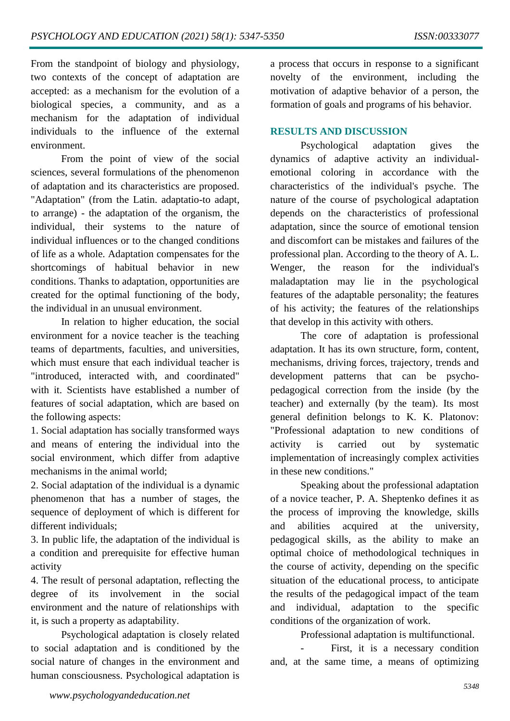From the standpoint of biology and physiology, two contexts of the concept of adaptation are accepted: as a mechanism for the evolution of a biological species, a community, and as a mechanism for the adaptation of individual individuals to the influence of the external environment.

From the point of view of the social sciences, several formulations of the phenomenon of adaptation and its characteristics are proposed. "Adaptation" (from the Latin. adaptatio-to adapt, to arrange) - the adaptation of the organism, the individual, their systems to the nature of individual influences or to the changed conditions of life as a whole. Adaptation compensates for the shortcomings of habitual behavior in new conditions. Thanks to adaptation, opportunities are created for the optimal functioning of the body, the individual in an unusual environment.

In relation to higher education, the social environment for a novice teacher is the teaching teams of departments, faculties, and universities, which must ensure that each individual teacher is "introduced, interacted with, and coordinated" with it. Scientists have established a number of features of social adaptation, which are based on the following aspects:

1. Social adaptation has socially transformed ways and means of entering the individual into the social environment, which differ from adaptive mechanisms in the animal world;

2. Social adaptation of the individual is a dynamic phenomenon that has a number of stages, the sequence of deployment of which is different for different individuals;

3. In public life, the adaptation of the individual is a condition and prerequisite for effective human activity

4. The result of personal adaptation, reflecting the degree of its involvement in the social environment and the nature of relationships with it, is such a property as adaptability.

Psychological adaptation is closely related to social adaptation and is conditioned by the social nature of changes in the environment and human consciousness. Psychological adaptation is

a process that occurs in response to a significant novelty of the environment, including the motivation of adaptive behavior of a person, the formation of goals and programs of his behavior.

## **RESULTS AND DISCUSSION**

Psychological adaptation gives the dynamics of adaptive activity an individualemotional coloring in accordance with the characteristics of the individual's psyche. The nature of the course of psychological adaptation depends on the characteristics of professional adaptation, since the source of emotional tension and discomfort can be mistakes and failures of the professional plan. According to the theory of A. L. Wenger, the reason for the individual's maladaptation may lie in the psychological features of the adaptable personality; the features of his activity; the features of the relationships that develop in this activity with others.

The core of adaptation is professional adaptation. It has its own structure, form, content, mechanisms, driving forces, trajectory, trends and development patterns that can be psychopedagogical correction from the inside (by the teacher) and externally (by the team). Its most general definition belongs to K. K. Platonov: "Professional adaptation to new conditions of activity is carried out by systematic implementation of increasingly complex activities in these new conditions."

Speaking about the professional adaptation of a novice teacher, P. A. Sheptenko defines it as the process of improving the knowledge, skills and abilities acquired at the university, pedagogical skills, as the ability to make an optimal choice of methodological techniques in the course of activity, depending on the specific situation of the educational process, to anticipate the results of the pedagogical impact of the team and individual, adaptation to the specific conditions of the organization of work.

Professional adaptation is multifunctional.

First, it is a necessary condition and, at the same time, a means of optimizing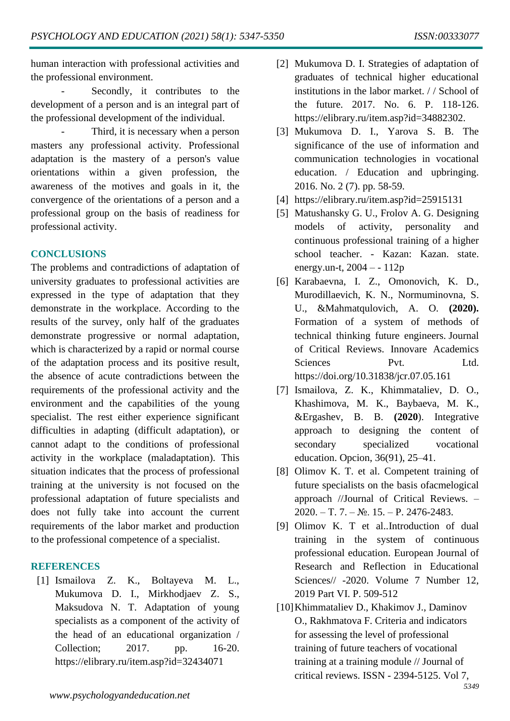human interaction with professional activities and the professional environment.

Secondly, it contributes to the development of a person and is an integral part of the professional development of the individual.

Third, it is necessary when a person masters any professional activity. Professional adaptation is the mastery of a person's value orientations within a given profession, the awareness of the motives and goals in it, the convergence of the orientations of a person and a professional group on the basis of readiness for professional activity.

## **CONCLUSIONS**

The problems and contradictions of adaptation of university graduates to professional activities are expressed in the type of adaptation that they demonstrate in the workplace. According to the results of the survey, only half of the graduates demonstrate progressive or normal adaptation, which is characterized by a rapid or normal course of the adaptation process and its positive result, the absence of acute contradictions between the requirements of the professional activity and the environment and the capabilities of the young specialist. The rest either experience significant difficulties in adapting (difficult adaptation), or cannot adapt to the conditions of professional activity in the workplace (maladaptation). This situation indicates that the process of professional training at the university is not focused on the professional adaptation of future specialists and does not fully take into account the current requirements of the labor market and production to the professional competence of a specialist.

# **REFERENCES**

[1] Ismailova Z. K., Boltayeva M. L., Mukumova D. I., Mirkhodjaev Z. S., Maksudova N. T. Adaptation of young specialists as a component of the activity of the head of an educational organization / Collection; 2017. pp. 16-20. https://elibrary.ru/item.asp?id=32434071

- [2] Mukumova D. I. Strategies of adaptation of graduates of technical higher educational institutions in the labor market. / / School of the future. 2017. No. 6. P. 118-126. https://elibrary.ru/item.asp?id=34882302.
- [3] Mukumova D. I., Yarova S. B. The significance of the use of information and communication technologies in vocational education. / Education and upbringing. 2016. No. 2 (7). pp. 58-59.
- [4] https://elibrary.ru/item.asp?id=25915131
- [5] Matushansky G. U., Frolov A. G. Designing models of activity, personality and continuous professional training of a higher school teacher. - Kazan: Kazan. state. energy.un-t,  $2004 - 112p$
- [6] Karabaevna, I. Z., Omonovich, K. D., Murodillaevich, K. N., Normuminovna, S. U., &Mahmatqulovich, A. O. **(2020).** Formation of a system of methods of technical thinking future engineers. Journal of Critical Reviews. Innovare Academics Sciences Pvt. Ltd. <https://doi.org/10.31838/jcr.07.05.161>
- [7] Ismailova, Z. K., Khimmataliev, D. O., Khashimova, M. K., Baybaeva, M. K., &Ergashev, B. B. **(2020**). Integrative approach to designing the content of secondary specialized vocational education. Opcion, 36(91), 25–41.
- [8] Olimov K. T. et al. Competent training of future specialists on the basis ofacmelogical approach //Journal of Critical Reviews. – 2020. – Т. 7. – №. 15. – P. 2476-2483.
- [9] Olimov K. T et al.[.Introduction of dual](javascript:void(0))  [training in the system of continuous](javascript:void(0))  [professional education.](javascript:void(0)) European Journal of Research and Reflection in Educational Sciences// -2020. Volume 7 Number 12. 2019 Part VI. P. 509-512
- [10]Khimmataliev D., Khakimov J., Daminov O., Rakhmatova F. Criteria and indicators for assessing the level of professional training of future teachers of vocational training at a training module // Journal of critical reviews. ISSN - 2394-5125. Vol 7,